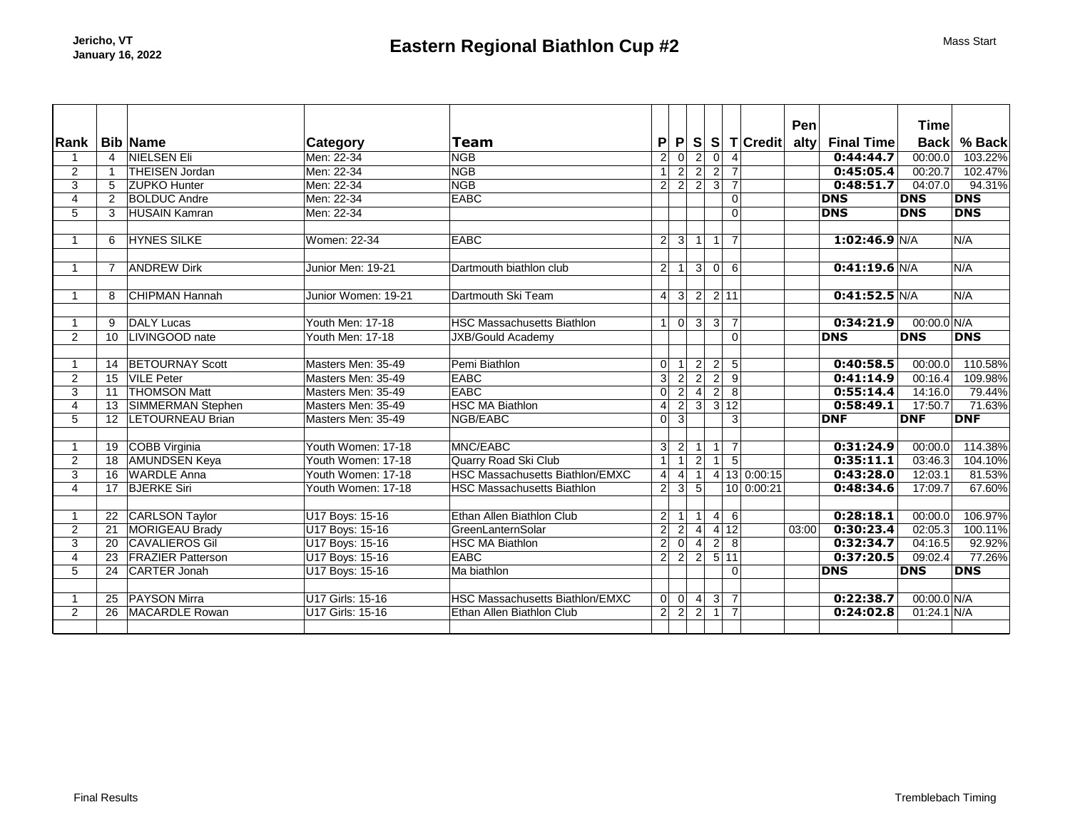|                |                         |                          |                     |                                        |                |                               |                  |                |                   |                         | Pen   |                   | <b>Time</b>   |            |
|----------------|-------------------------|--------------------------|---------------------|----------------------------------------|----------------|-------------------------------|------------------|----------------|-------------------|-------------------------|-------|-------------------|---------------|------------|
| Rank           |                         | <b>Bib Name</b>          | <b>Category</b>     | <b>Team</b>                            | P              | P                             |                  |                |                   | S S T Credit            | alty  | <b>Final Time</b> | <b>Back</b>   | % Back     |
|                | $\overline{4}$          | <b>NIELSEN Eli</b>       | Men: 22-34          | <b>NGB</b>                             | $\overline{2}$ | 0                             | $\overline{2}$   | $\overline{0}$ | $\overline{4}$    |                         |       | 0:44:44.7         | 00:00.0       | 103.22%    |
| $\overline{2}$ | $\overline{\mathbf{1}}$ | <b>THEISEN Jordan</b>    | Men: 22-34          | <b>NGB</b>                             | $\mathbf{1}$   | $\overline{2}$                | $\overline{2}$   | $\sqrt{2}$     | $\overline{7}$    |                         |       | 0:45:05.4         | 00:20.7       | 102.47%    |
| 3              | 5                       | <b>ZUPKO Hunter</b>      | Men: 22-34          | <b>NGB</b>                             |                | $\overline{2}$ $\overline{2}$ | $\overline{2}$   | $\overline{3}$ | $\overline{7}$    |                         |       | 0:48:51.7         | 04:07.0       | 94.31%     |
| 4              | $\overline{2}$          | <b>BOLDUC Andre</b>      | Men: 22-34          | <b>EABC</b>                            |                |                               |                  |                | 0                 |                         |       | <b>DNS</b>        | <b>DNS</b>    | <b>DNS</b> |
| 5              | 3                       | <b>HUSAIN Kamran</b>     | Men: 22-34          |                                        |                |                               |                  |                | $\Omega$          |                         |       | <b>DNS</b>        | <b>DNS</b>    | <b>DNS</b> |
|                |                         |                          |                     |                                        |                |                               |                  |                |                   |                         |       |                   |               |            |
|                | 6                       | <b>HYNES SILKE</b>       | Women: 22-34        | <b>EABC</b>                            |                | 2 3 1                         |                  | $\vert$ 1      | $\overline{7}$    |                         |       | $1:02:46.9$ N/A   |               | N/A        |
|                |                         |                          |                     |                                        |                |                               |                  |                |                   |                         |       |                   |               |            |
|                | $\overline{7}$          | <b>ANDREW Dirk</b>       | Junior Men: 19-21   | Dartmouth biathlon club                | 2 <sup>1</sup> | $\mathbf{1}$                  | 3 <sup>2</sup>   | 0              | 6                 |                         |       | $0:41:19.6$ N/A   |               | N/A        |
|                | 8                       | <b>CHIPMAN Hannah</b>    | Junior Women: 19-21 | Dartmouth Ski Team                     | $\vert$        | 3                             | $\vert$ 2        |                | 2 11              |                         |       | 0:41:52.5 N/A     |               | N/A        |
|                |                         |                          |                     |                                        |                |                               |                  |                |                   |                         |       |                   |               |            |
| $\mathbf{1}$   | 9                       | <b>DALY Lucas</b>        | Youth Men: 17-18    | <b>HSC Massachusetts Biathlon</b>      | 1              |                               | $\overline{0}$ 3 | $\overline{3}$ | -71               |                         |       | 0:34:21.9         | 00:00.0 N/A   |            |
| $\overline{2}$ |                         | 10   LIVINGOOD nate      | Youth Men: 17-18    | <b>JXB/Gould Academy</b>               |                |                               |                  |                | 0                 |                         |       | <b>DNS</b>        | <b>DNS</b>    | <b>DNS</b> |
|                |                         |                          |                     |                                        |                |                               |                  |                |                   |                         |       |                   |               |            |
|                |                         | 14 BETOURNAY Scott       | Masters Men: 35-49  | Pemi Biathlon                          | $\Omega$       | $\mathbf 1$                   | $\vert$ 2        | $\vert$ 2      | $5\phantom{.0}$   |                         |       | 0:40:58.5         | 00:00.0       | 110.58%    |
| $\overline{2}$ |                         | 15 VILE Peter            | Masters Men: 35-49  | <b>EABC</b>                            | 3              | $\overline{c}$                | $\overline{2}$   | $\vert$ 2      | 9                 |                         |       | 0:41:14.9         | 00:16.4       | 109.98%    |
| $\overline{3}$ |                         | 11 THOMSON Matt          | Masters Men: 35-49  | <b>EABC</b>                            | 0              | $\overline{2}$                | $\overline{4}$   | $\overline{2}$ | $\overline{8}$    |                         |       | 0:55:14.4         | 14:16.0       | 79.44%     |
| $\overline{4}$ |                         | 13 SIMMERMAN Stephen     | Masters Men: 35-49  | <b>HSC MA Biathlon</b>                 | $\overline{4}$ | $\overline{2}$                | $\overline{3}$   |                | $\overline{3}$ 12 |                         |       | 0:58:49.1         | 17:50.7       | 71.63%     |
| 5              |                         | 12 LETOURNEAU Brian      | Masters Men: 35-49  | NGB/EABC                               | 0              | $\overline{3}$                |                  |                | $\overline{3}$    |                         |       | <b>DNF</b>        | <b>DNF</b>    | <b>DNF</b> |
|                |                         |                          |                     |                                        |                |                               |                  |                |                   |                         |       |                   |               |            |
|                |                         | 19 COBB Virginia         | Youth Women: 17-18  | MNC/EABC                               | 3 <sup>2</sup> | $\overline{2}$                | $\mathbf{1}$     | $\overline{1}$ | $\overline{7}$    |                         |       | 0:31:24.9         | 00:00.0       | 114.38%    |
| $\overline{2}$ |                         | 18 AMUNDSEN Keya         | Youth Women: 17-18  | Quarry Road Ski Club                   | $\mathbf{1}$   | $\overline{1}$                | $\overline{2}$   | 1 <sup>1</sup> | $\overline{5}$    |                         |       | 0:35:11.1         | 03:46.3       | 104.10%    |
| $\overline{3}$ |                         | 16 WARDLE Anna           | Youth Women: 17-18  | <b>HSC Massachusetts Biathlon/EMXC</b> | $\overline{4}$ | $\overline{4}$                | $\vert$ 1        |                |                   | $4$ 13 0:00:15          |       | 0:43:28.0         | 12:03.1       | 81.53%     |
| 4              |                         | 17 BJERKE Siri           | Youth Women: 17-18  | <b>HSC Massachusetts Biathlon</b>      | 2 <sup>1</sup> | 3                             | 5 <sup>2</sup>   |                |                   | $\overline{10}$ 0:00:21 |       | 0:48:34.6         | 17:09.7       | 67.60%     |
|                |                         |                          |                     |                                        |                |                               |                  |                |                   |                         |       |                   |               |            |
|                |                         | 22 CARLSON Taylor        | U17 Boys: 15-16     | Ethan Allen Biathlon Club              | $\vert$ 2      | 1                             | $\mathbf 1$      | $\vert$        | 6                 |                         |       | 0:28:18.1         | 00:00.0       | 106.97%    |
| $\overline{2}$ | 21                      | MORIGEAU Brady           | U17 Boys: 15-16     | GreenLanternSolar                      | $\overline{2}$ | $\overline{2}$                | $\vert 4 \vert$  |                | 412               |                         | 03:00 | 0:30:23.4         | 02:05.3       | 100.11%    |
| 3              | 20                      | <b>CAVALIEROS Gil</b>    | U17 Boys: 15-16     | <b>HSC MA Biathlon</b>                 | $\overline{2}$ | $\overline{0}$                | $\overline{4}$   | $\overline{2}$ | $\overline{8}$    |                         |       | 0:32:34.7         | 04:16.5       | 92.92%     |
| $\overline{4}$ | 23                      | <b>FRAZIER Patterson</b> | U17 Boys: 15-16     | <b>EABC</b>                            | $\overline{2}$ | $\overline{2}$                | $\overline{2}$   |                | 5 11              |                         |       | 0:37:20.5         | 09:02.4       | 77.26%     |
| 5              | 24                      | CARTER Jonah             | U17 Boys: 15-16     | Ma biathlon                            |                |                               |                  |                | 0                 |                         |       | <b>DNS</b>        | <b>DNS</b>    | <b>DNS</b> |
|                |                         |                          |                     |                                        |                |                               |                  |                |                   |                         |       |                   |               |            |
|                |                         | 25 PAYSON Mirra          | U17 Girls: 15-16    | <b>HSC Massachusetts Biathlon/EMXC</b> | 0              |                               | $0 \mid 4$       |                | 3 7               |                         |       | 0:22:38.7         | $00:00.0$ N/A |            |
| $\overline{2}$ | 26                      | MACARDLE Rowan           | U17 Girls: 15-16    | Ethan Allen Biathlon Club              | $\vert$ 2      | $\vert$ 2                     | $\vert$ 2        | $\vert$ 1      | $\overline{7}$    |                         |       | 0:24:02.8         | $01:24.1$ N/A |            |
|                |                         |                          |                     |                                        |                |                               |                  |                |                   |                         |       |                   |               |            |